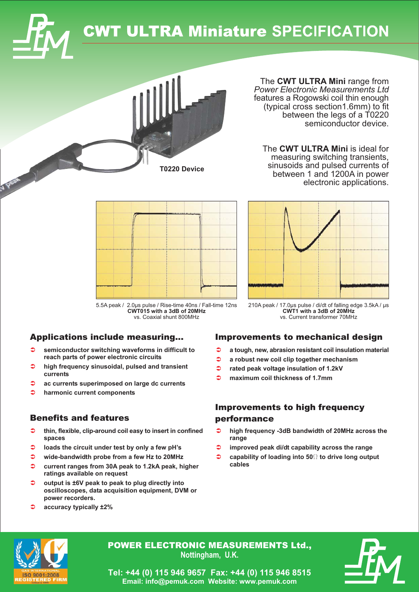

# **CWT ULTRA Miniature SPECIFICATION**

The CWT ULTRA Mini range from **Power Electronic Measurements Ltd** features a Rogowski coil thin enough (typical cross section1.6mm) to fit between the legs of a T0220 semiconductor device.

The CWT ULTRA Mini is ideal for measuring switching transients, sinusoids and pulsed currents of between 1 and 1200A in power electronic applications.



T0220 Device

210A peak / 17.0us pulse / di/dt of falling edge 3.5kA / us CWT1 with a 3dB of 20MHz

5.5A peak / 2.0µs pulse / Rise-time 40ns / Fall-time 12ns CWT015 with a 3dB of 20MHz vs. Coaxial shunt 800MHz

### **Applications include measuring...**

- $\triangle$ semiconductor switching waveforms in difficult to reach parts of power electronic circuits
- $\bullet$ high frequency sinusoidal, pulsed and transient currents
- ≏ ac currents superimposed on large dc currents
- ∍ harmonic current components

### **Benefits and features**

- $\rightarrow$ thin, flexible, clip-around coil easy to insert in confined spaces
- $\bullet$ loads the circuit under test by only a few pH's
- $\triangle$ wide-bandwidth probe from a few Hz to 20MHz
- $\bullet$ current ranges from 30A peak to 1.2kA peak, higher ratings available on request
- $\bullet$ output is ±6V peak to peak to plug directly into oscilloscopes, data acquisition equipment, DVM or power recorders.
- accuracy typically ±2%

# **Improvements to mechanical design**

vs. Current transformer 70MHz

- $\triangle$ a tough, new, abrasion resistant coil insulation material
- $\Rightarrow$ a robust new coil clip together mechanism
- $\bullet$ rated peak voltage insulation of 1.2kV
- maximum coil thickness of 1 7mm

## **Improvements to high frequency** performance

- high frequency -3dB bandwidth of 20MHz across the  $\rightarrow$ range
- $\Rightarrow$ improved peak di/dt capability across the range
- $\Rightarrow$ capability of loading into 500 to drive long output cables



**POWER ELECTRONIC MEASUREMENTS Ltd..** Nottingham, U.K.



Tel: +44 (0) 115 946 9657 Fax: +44 (0) 115 946 8515 Email: info@pemuk.com Website: www.pemuk.com